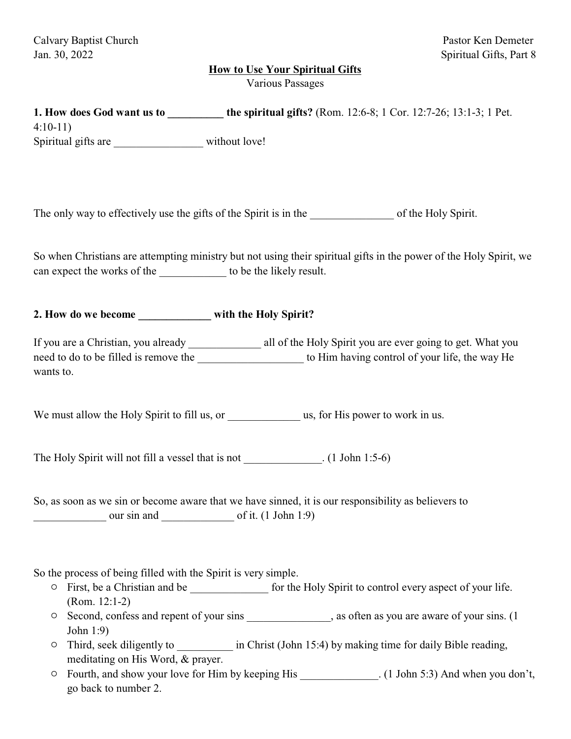## **How to Use Your Spiritual Gifts**

Various Passages

| 1. How does God want us to __________ the spiritual gifts? (Rom. 12:6-8; 1 Cor. 12:7-26; 13:1-3; 1 Pet.<br>$4:10-11$<br>Spiritual gifts are _____________________ without love!                                                                                                                                                                                                                                                                                                                                                                                                                                                                                                                                   |
|-------------------------------------------------------------------------------------------------------------------------------------------------------------------------------------------------------------------------------------------------------------------------------------------------------------------------------------------------------------------------------------------------------------------------------------------------------------------------------------------------------------------------------------------------------------------------------------------------------------------------------------------------------------------------------------------------------------------|
|                                                                                                                                                                                                                                                                                                                                                                                                                                                                                                                                                                                                                                                                                                                   |
| So when Christians are attempting ministry but not using their spiritual gifts in the power of the Holy Spirit, we<br>can expect the works of the _______________ to be the likely result.                                                                                                                                                                                                                                                                                                                                                                                                                                                                                                                        |
| 2. How do we become __________ with the Holy Spirit?                                                                                                                                                                                                                                                                                                                                                                                                                                                                                                                                                                                                                                                              |
| need to do to be filled is remove the subsequently to Him having control of your life, the way He<br>wants to.                                                                                                                                                                                                                                                                                                                                                                                                                                                                                                                                                                                                    |
|                                                                                                                                                                                                                                                                                                                                                                                                                                                                                                                                                                                                                                                                                                                   |
| The Holy Spirit will not fill a vessel that is not ______________. (1 John 1:5-6)                                                                                                                                                                                                                                                                                                                                                                                                                                                                                                                                                                                                                                 |
| So, as soon as we sin or become aware that we have sinned, it is our responsibility as believers to<br>$\frac{\text{our }\sin \text{ and } \text{or }\sin \text{ or }\sin \text{ or }\sin \text{ or }\sin \text{ or }\sin \text{ or }\sin \text{ or }\sin \text{ or }\sin \text{ or }\sin \text{ or }\sin \text{ or }\sin \text{ or }\sin \text{ or }\sin \text{ or }\sin \text{ or }\sin \text{ or }\sin \text{ or }\sin \text{ or }\sin \text{ or }\sin \text{ or }\sin \text{ or }\sin \text{ or }\sin \text{ or }\sin \text{ or }\sin \text{ or }\sin \text{ or }\sin \text{ or }\sin \text{ or }\sin \text{ or }\sin \text{ or }\sin \text{ or }\sin \text{ or }\sin \text{ or }\sin \text{ or }\sin \text{$ |
| So the process of being filled with the Spirit is very simple.<br>First, be a Christian and be _________________ for the Holy Spirit to control every aspect of your life.<br>O<br>$(Rom. 12:1-2)$<br>Second, confess and repent of your sins ______________, as often as you are aware of your sins. (1)<br>O<br>John 1:9)                                                                                                                                                                                                                                                                                                                                                                                       |

- <sup>O</sup> Third, seek diligently to \_\_\_\_\_\_\_\_\_\_\_\_ in Christ (John 15:4) by making time for daily Bible reading, meditating on His Word, & prayer.
- <sup>o</sup> Fourth, and show your love for Him by keeping His \_\_\_\_\_\_\_\_\_\_\_\_. (1 John 5:3) And when you don't, go back to number 2.